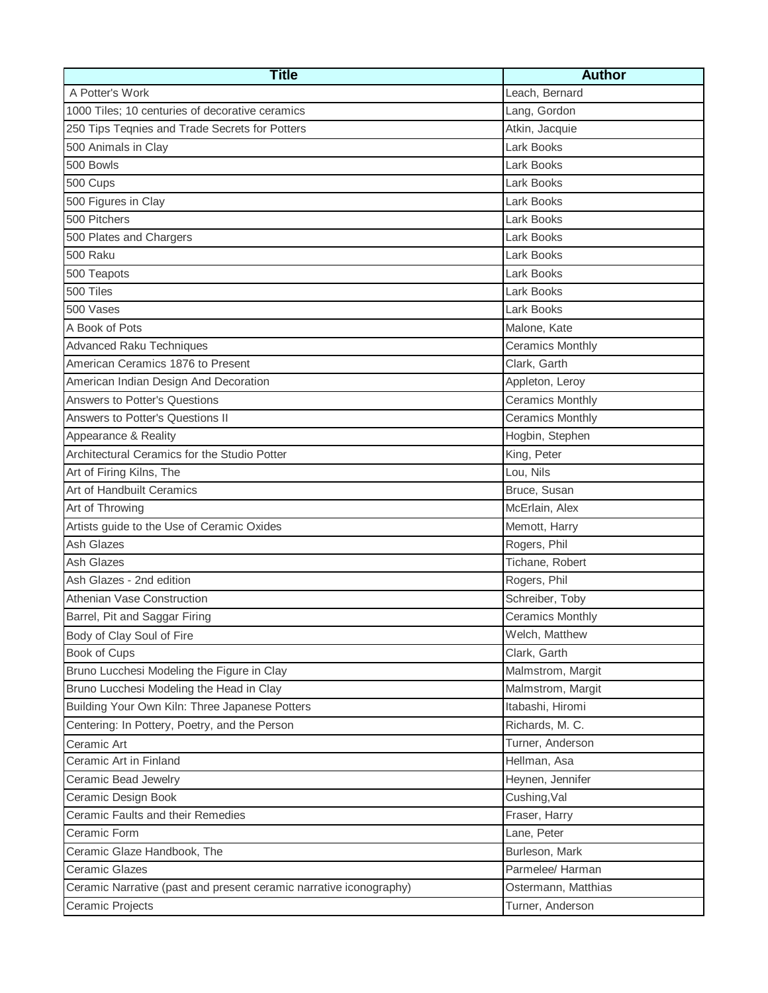| <b>Title</b>                                                       | <b>Author</b>           |
|--------------------------------------------------------------------|-------------------------|
| A Potter's Work                                                    | Leach, Bernard          |
| 1000 Tiles; 10 centuries of decorative ceramics                    | Lang, Gordon            |
| 250 Tips Teqnies and Trade Secrets for Potters                     | Atkin, Jacquie          |
| 500 Animals in Clay                                                | Lark Books              |
| 500 Bowls                                                          | Lark Books              |
| 500 Cups                                                           | Lark Books              |
| 500 Figures in Clay                                                | Lark Books              |
| 500 Pitchers                                                       | Lark Books              |
| 500 Plates and Chargers                                            | Lark Books              |
| 500 Raku                                                           | Lark Books              |
| 500 Teapots                                                        | Lark Books              |
| 500 Tiles                                                          | Lark Books              |
| 500 Vases                                                          | Lark Books              |
| A Book of Pots                                                     | Malone, Kate            |
| <b>Advanced Raku Techniques</b>                                    | <b>Ceramics Monthly</b> |
| American Ceramics 1876 to Present                                  | Clark, Garth            |
| American Indian Design And Decoration                              | Appleton, Leroy         |
| <b>Answers to Potter's Questions</b>                               | <b>Ceramics Monthly</b> |
| Answers to Potter's Questions II                                   | <b>Ceramics Monthly</b> |
| Appearance & Reality                                               | Hogbin, Stephen         |
| Architectural Ceramics for the Studio Potter                       | King, Peter             |
| Art of Firing Kilns, The                                           | Lou, Nils               |
| Art of Handbuilt Ceramics                                          | Bruce, Susan            |
| Art of Throwing                                                    | McErlain, Alex          |
| Artists guide to the Use of Ceramic Oxides                         | Memott, Harry           |
| <b>Ash Glazes</b>                                                  | Rogers, Phil            |
| <b>Ash Glazes</b>                                                  | Tichane, Robert         |
| Ash Glazes - 2nd edition                                           | Rogers, Phil            |
| Athenian Vase Construction                                         | Schreiber, Toby         |
| Barrel, Pit and Saggar Firing                                      | <b>Ceramics Monthly</b> |
| Body of Clay Soul of Fire                                          | Welch, Matthew          |
| Book of Cups                                                       | Clark, Garth            |
| Bruno Lucchesi Modeling the Figure in Clay                         | Malmstrom, Margit       |
| Bruno Lucchesi Modeling the Head in Clay                           | Malmstrom, Margit       |
| Building Your Own Kiln: Three Japanese Potters                     | Itabashi, Hiromi        |
| Centering: In Pottery, Poetry, and the Person                      | Richards, M. C.         |
| Ceramic Art                                                        | Turner, Anderson        |
| Ceramic Art in Finland                                             | Hellman, Asa            |
| Ceramic Bead Jewelry                                               | Heynen, Jennifer        |
| Ceramic Design Book                                                | Cushing, Val            |
| Ceramic Faults and their Remedies                                  | Fraser, Harry           |
| Ceramic Form                                                       | Lane, Peter             |
| Ceramic Glaze Handbook, The                                        | Burleson, Mark          |
| <b>Ceramic Glazes</b>                                              | Parmelee/ Harman        |
| Ceramic Narrative (past and present ceramic narrative iconography) | Ostermann, Matthias     |
| Ceramic Projects                                                   | Turner, Anderson        |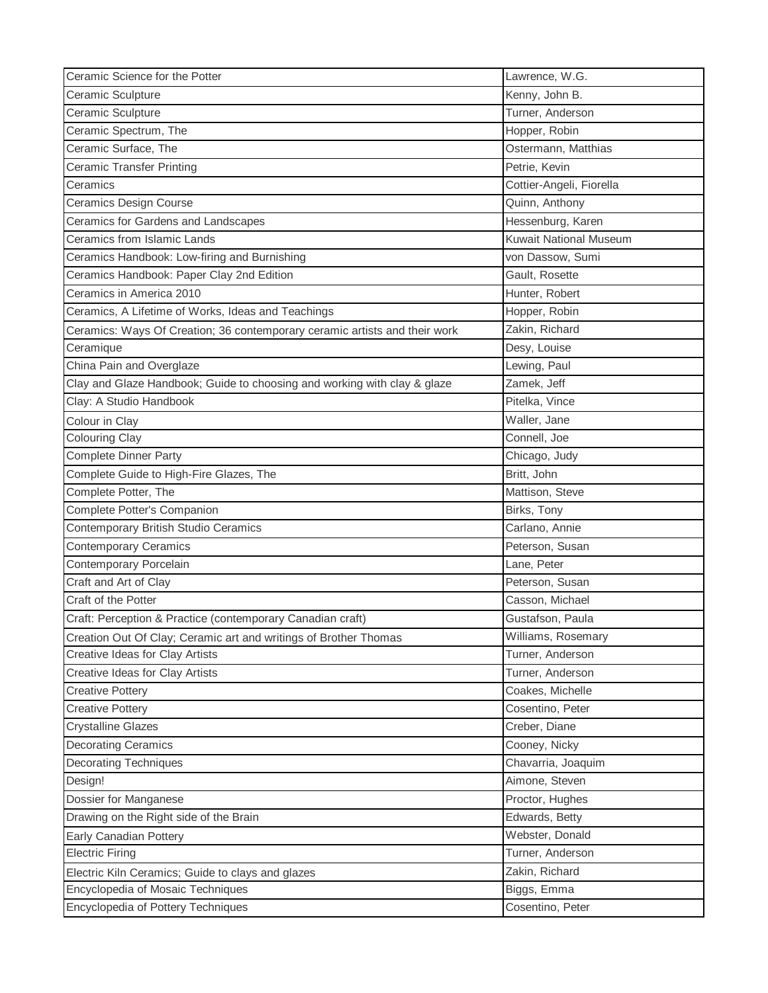| Ceramic Science for the Potter                                             | Lawrence, W.G.                |
|----------------------------------------------------------------------------|-------------------------------|
| Ceramic Sculpture                                                          | Kenny, John B.                |
| Ceramic Sculpture                                                          | Turner, Anderson              |
| Ceramic Spectrum, The                                                      | Hopper, Robin                 |
| Ceramic Surface, The                                                       | Ostermann, Matthias           |
| <b>Ceramic Transfer Printing</b>                                           | Petrie, Kevin                 |
| Ceramics                                                                   | Cottier-Angeli, Fiorella      |
| <b>Ceramics Design Course</b>                                              | Quinn, Anthony                |
| Ceramics for Gardens and Landscapes                                        | Hessenburg, Karen             |
| Ceramics from Islamic Lands                                                | <b>Kuwait National Museum</b> |
| Ceramics Handbook: Low-firing and Burnishing                               | von Dassow, Sumi              |
| Ceramics Handbook: Paper Clay 2nd Edition                                  | Gault, Rosette                |
| Ceramics in America 2010                                                   | Hunter, Robert                |
| Ceramics, A Lifetime of Works, Ideas and Teachings                         | Hopper, Robin                 |
| Ceramics: Ways Of Creation; 36 contemporary ceramic artists and their work | Zakin, Richard                |
| Ceramique                                                                  | Desy, Louise                  |
| China Pain and Overglaze                                                   | Lewing, Paul                  |
| Clay and Glaze Handbook; Guide to choosing and working with clay & glaze   | Zamek, Jeff                   |
| Clay: A Studio Handbook                                                    | Pitelka, Vince                |
| Colour in Clay                                                             | Waller, Jane                  |
| <b>Colouring Clay</b>                                                      | Connell, Joe                  |
| Complete Dinner Party                                                      | Chicago, Judy                 |
| Complete Guide to High-Fire Glazes, The                                    | Britt, John                   |
| Complete Potter, The                                                       | Mattison, Steve               |
| Complete Potter's Companion                                                | Birks, Tony                   |
| Contemporary British Studio Ceramics                                       | Carlano, Annie                |
| <b>Contemporary Ceramics</b>                                               | Peterson, Susan               |
| Contemporary Porcelain                                                     | Lane, Peter                   |
| Craft and Art of Clay                                                      | Peterson, Susan               |
| Craft of the Potter                                                        | Casson, Michael               |
| Craft: Perception & Practice (contemporary Canadian craft)                 | Gustafson, Paula              |
| Creation Out Of Clay; Ceramic art and writings of Brother Thomas           | Williams, Rosemary            |
| Creative Ideas for Clay Artists                                            | Turner, Anderson              |
| Creative Ideas for Clay Artists                                            | Turner, Anderson              |
| <b>Creative Pottery</b>                                                    | Coakes, Michelle              |
| <b>Creative Pottery</b>                                                    | Cosentino, Peter              |
| <b>Crystalline Glazes</b>                                                  | Creber, Diane                 |
| <b>Decorating Ceramics</b>                                                 | Cooney, Nicky                 |
| <b>Decorating Techniques</b>                                               | Chavarria, Joaquim            |
| Design!                                                                    | Aimone, Steven                |
| Dossier for Manganese                                                      | Proctor, Hughes               |
| Drawing on the Right side of the Brain                                     | Edwards, Betty                |
| Early Canadian Pottery                                                     | Webster, Donald               |
| <b>Electric Firing</b>                                                     | Turner, Anderson              |
| Electric Kiln Ceramics; Guide to clays and glazes                          | Zakin, Richard                |
| Encyclopedia of Mosaic Techniques                                          | Biggs, Emma                   |
| Encyclopedia of Pottery Techniques                                         | Cosentino, Peter              |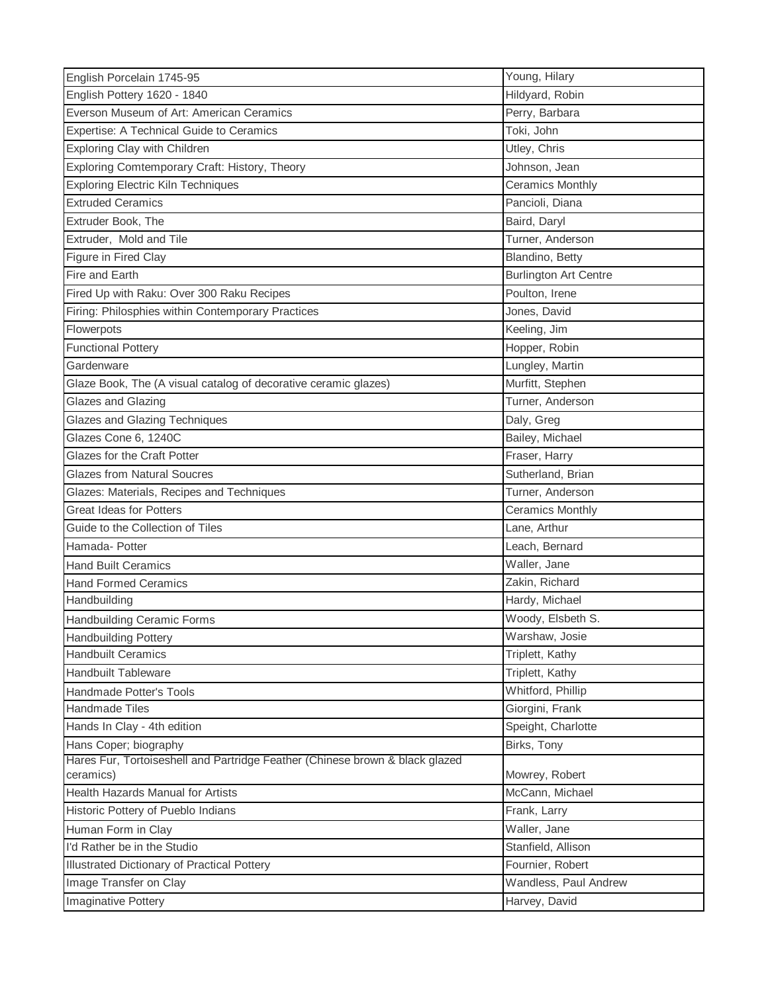| English Porcelain 1745-95                                                    | Young, Hilary                |
|------------------------------------------------------------------------------|------------------------------|
| English Pottery 1620 - 1840                                                  | Hildyard, Robin              |
| Everson Museum of Art: American Ceramics                                     | Perry, Barbara               |
| Expertise: A Technical Guide to Ceramics                                     | Toki, John                   |
| Exploring Clay with Children                                                 | Utley, Chris                 |
| Exploring Comtemporary Craft: History, Theory                                | Johnson, Jean                |
| <b>Exploring Electric Kiln Techniques</b>                                    | <b>Ceramics Monthly</b>      |
| <b>Extruded Ceramics</b>                                                     | Pancioli, Diana              |
| Extruder Book, The                                                           | Baird, Daryl                 |
| Extruder, Mold and Tile                                                      | Turner, Anderson             |
| Figure in Fired Clay                                                         | Blandino, Betty              |
| Fire and Earth                                                               | <b>Burlington Art Centre</b> |
| Fired Up with Raku: Over 300 Raku Recipes                                    | Poulton, Irene               |
| Firing: Philosphies within Contemporary Practices                            | Jones, David                 |
| Flowerpots                                                                   | Keeling, Jim                 |
| <b>Functional Pottery</b>                                                    | Hopper, Robin                |
| Gardenware                                                                   | Lungley, Martin              |
| Glaze Book, The (A visual catalog of decorative ceramic glazes)              | Murfitt, Stephen             |
| Glazes and Glazing                                                           | Turner, Anderson             |
| <b>Glazes and Glazing Techniques</b>                                         | Daly, Greg                   |
| Glazes Cone 6, 1240C                                                         | Bailey, Michael              |
| Glazes for the Craft Potter                                                  | Fraser, Harry                |
| <b>Glazes from Natural Soucres</b>                                           | Sutherland, Brian            |
| Glazes: Materials, Recipes and Techniques                                    | Turner, Anderson             |
| <b>Great Ideas for Potters</b>                                               | <b>Ceramics Monthly</b>      |
| Guide to the Collection of Tiles                                             | Lane, Arthur                 |
| Hamada- Potter                                                               | Leach, Bernard               |
| <b>Hand Built Ceramics</b>                                                   | Waller, Jane                 |
| <b>Hand Formed Ceramics</b>                                                  | Zakin, Richard               |
| Handbuilding                                                                 | Hardy, Michael               |
| <b>Handbuilding Ceramic Forms</b>                                            | Woody, Elsbeth S.            |
| <b>Handbuilding Pottery</b>                                                  | Warshaw, Josie               |
| <b>Handbuilt Ceramics</b>                                                    | Triplett, Kathy              |
| <b>Handbuilt Tableware</b>                                                   | Triplett, Kathy              |
| Handmade Potter's Tools                                                      | Whitford, Phillip            |
| <b>Handmade Tiles</b>                                                        | Giorgini, Frank              |
| Hands In Clay - 4th edition                                                  | Speight, Charlotte           |
| Hans Coper; biography                                                        | Birks, Tony                  |
| Hares Fur, Tortoiseshell and Partridge Feather (Chinese brown & black glazed |                              |
| ceramics)                                                                    | Mowrey, Robert               |
| Health Hazards Manual for Artists                                            | McCann, Michael              |
| Historic Pottery of Pueblo Indians                                           | Frank, Larry                 |
| Human Form in Clay                                                           | Waller, Jane                 |
| I'd Rather be in the Studio                                                  | Stanfield, Allison           |
| Illustrated Dictionary of Practical Pottery                                  | Fournier, Robert             |
| Image Transfer on Clay                                                       | Wandless, Paul Andrew        |
| <b>Imaginative Pottery</b>                                                   | Harvey, David                |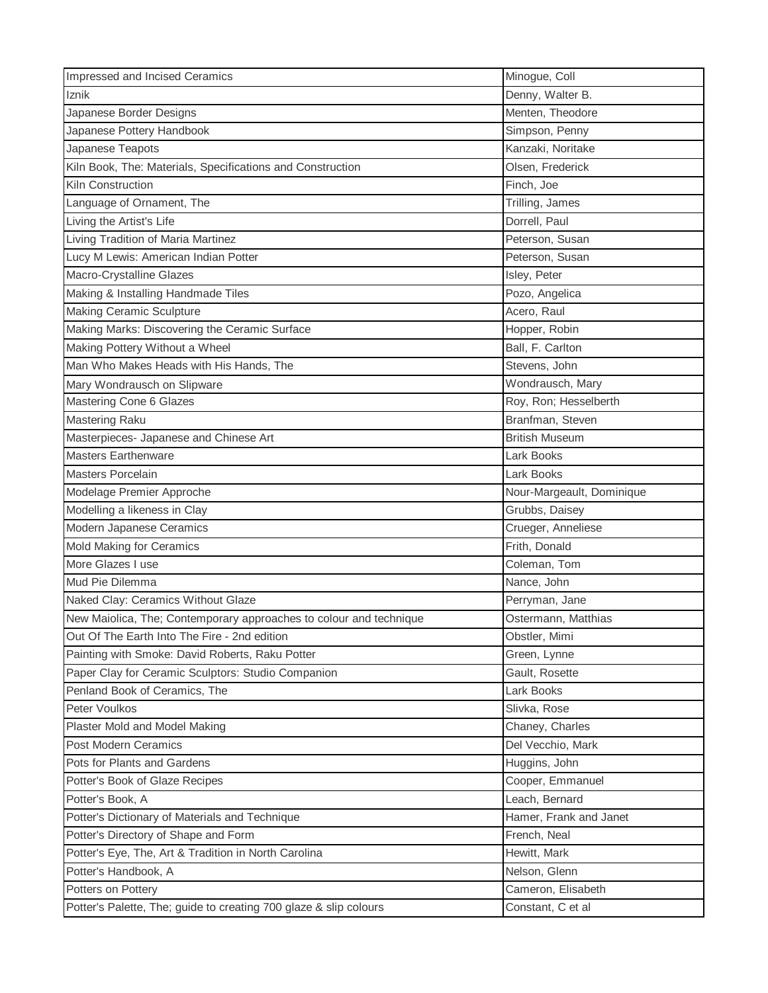| Impressed and Incised Ceramics                                     | Minogue, Coll             |
|--------------------------------------------------------------------|---------------------------|
| Iznik                                                              | Denny, Walter B.          |
| Japanese Border Designs                                            | Menten, Theodore          |
| Japanese Pottery Handbook                                          | Simpson, Penny            |
| Japanese Teapots                                                   | Kanzaki, Noritake         |
| Kiln Book, The: Materials, Specifications and Construction         | Olsen, Frederick          |
| Kiln Construction                                                  | Finch, Joe                |
| Language of Ornament, The                                          | Trilling, James           |
| Living the Artist's Life                                           | Dorrell, Paul             |
| Living Tradition of Maria Martinez                                 | Peterson, Susan           |
| Lucy M Lewis: American Indian Potter                               | Peterson, Susan           |
| Macro-Crystalline Glazes                                           | Isley, Peter              |
| Making & Installing Handmade Tiles                                 | Pozo, Angelica            |
| <b>Making Ceramic Sculpture</b>                                    | Acero, Raul               |
| Making Marks: Discovering the Ceramic Surface                      | Hopper, Robin             |
| Making Pottery Without a Wheel                                     | Ball, F. Carlton          |
| Man Who Makes Heads with His Hands, The                            | Stevens, John             |
| Mary Wondrausch on Slipware                                        | Wondrausch, Mary          |
| <b>Mastering Cone 6 Glazes</b>                                     | Roy, Ron; Hesselberth     |
| Mastering Raku                                                     | Branfman, Steven          |
| Masterpieces- Japanese and Chinese Art                             | <b>British Museum</b>     |
| <b>Masters Earthenware</b>                                         | Lark Books                |
| Masters Porcelain                                                  | Lark Books                |
| Modelage Premier Approche                                          | Nour-Margeault, Dominique |
| Modelling a likeness in Clay                                       | Grubbs, Daisey            |
| Modern Japanese Ceramics                                           | Crueger, Anneliese        |
| <b>Mold Making for Ceramics</b>                                    | Frith, Donald             |
| More Glazes I use                                                  | Coleman, Tom              |
| Mud Pie Dilemma                                                    | Nance, John               |
| Naked Clay: Ceramics Without Glaze                                 | Perryman, Jane            |
| New Maiolica, The; Contemporary approaches to colour and technique | Ostermann, Matthias       |
| Out Of The Earth Into The Fire - 2nd edition                       | Obstler, Mimi             |
| Painting with Smoke: David Roberts, Raku Potter                    | Green, Lynne              |
| Paper Clay for Ceramic Sculptors: Studio Companion                 | Gault, Rosette            |
| Penland Book of Ceramics, The                                      | Lark Books                |
| Peter Voulkos                                                      | Slivka, Rose              |
| Plaster Mold and Model Making                                      | Chaney, Charles           |
| <b>Post Modern Ceramics</b>                                        | Del Vecchio, Mark         |
| Pots for Plants and Gardens                                        | Huggins, John             |
| Potter's Book of Glaze Recipes                                     | Cooper, Emmanuel          |
| Potter's Book, A                                                   | Leach, Bernard            |
| Potter's Dictionary of Materials and Technique                     | Hamer, Frank and Janet    |
| Potter's Directory of Shape and Form                               | French, Neal              |
| Potter's Eye, The, Art & Tradition in North Carolina               | Hewitt, Mark              |
| Potter's Handbook, A                                               | Nelson, Glenn             |
| Potters on Pottery                                                 | Cameron, Elisabeth        |
| Potter's Palette, The; guide to creating 700 glaze & slip colours  | Constant, C et al         |
|                                                                    |                           |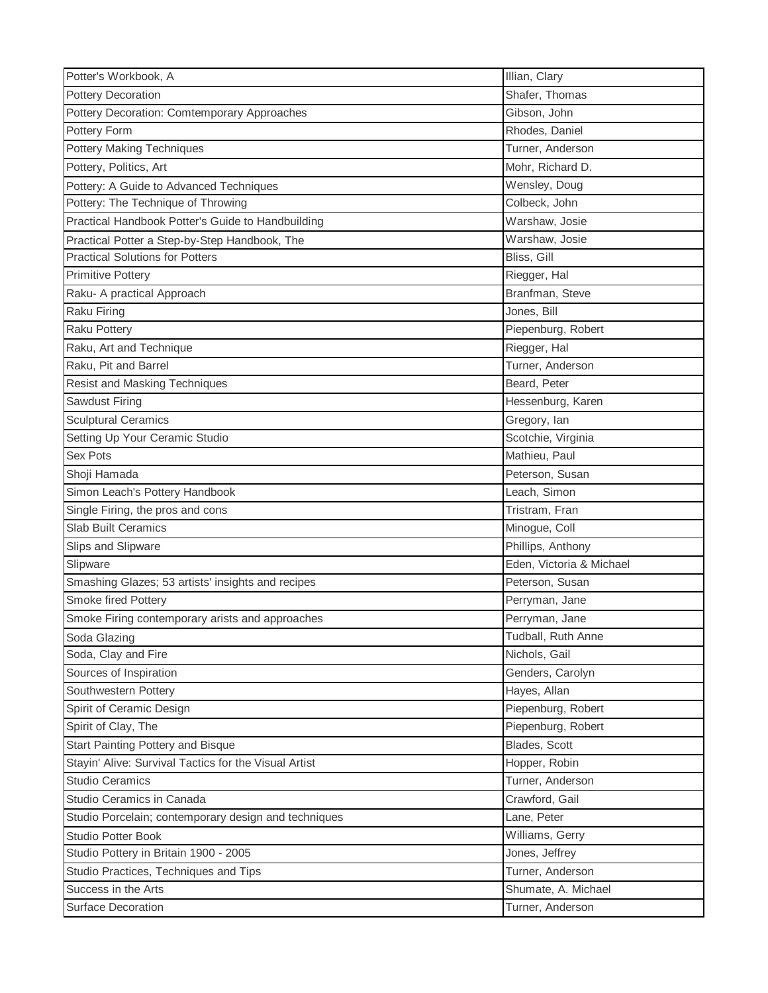| Potter's Workbook, A                                  | Illian, Clary            |
|-------------------------------------------------------|--------------------------|
| <b>Pottery Decoration</b>                             | Shafer, Thomas           |
| Pottery Decoration: Comtemporary Approaches           | Gibson, John             |
| Pottery Form                                          | Rhodes, Daniel           |
| <b>Pottery Making Techniques</b>                      | Turner, Anderson         |
| Pottery, Politics, Art                                | Mohr, Richard D.         |
| Pottery: A Guide to Advanced Techniques               | Wensley, Doug            |
| Pottery: The Technique of Throwing                    | Colbeck, John            |
| Practical Handbook Potter's Guide to Handbuilding     | Warshaw, Josie           |
| Practical Potter a Step-by-Step Handbook, The         | Warshaw, Josie           |
| <b>Practical Solutions for Potters</b>                | Bliss, Gill              |
| <b>Primitive Pottery</b>                              | Riegger, Hal             |
| Raku- A practical Approach                            | Branfman, Steve          |
| Raku Firing                                           | Jones, Bill              |
| <b>Raku Pottery</b>                                   | Piepenburg, Robert       |
| Raku, Art and Technique                               | Riegger, Hal             |
| Raku, Pit and Barrel                                  | Turner, Anderson         |
| Resist and Masking Techniques                         | Beard, Peter             |
| Sawdust Firing                                        | Hessenburg, Karen        |
| <b>Sculptural Ceramics</b>                            | Gregory, lan             |
| Setting Up Your Ceramic Studio                        | Scotchie, Virginia       |
| Sex Pots                                              | Mathieu, Paul            |
| Shoji Hamada                                          | Peterson, Susan          |
| Simon Leach's Pottery Handbook                        | Leach, Simon             |
| Single Firing, the pros and cons                      | Tristram, Fran           |
| <b>Slab Built Ceramics</b>                            | Minogue, Coll            |
| Slips and Slipware                                    | Phillips, Anthony        |
| Slipware                                              | Eden, Victoria & Michael |
| Smashing Glazes; 53 artists' insights and recipes     | Peterson, Susan          |
| Smoke fired Pottery                                   | Perryman, Jane           |
| Smoke Firing contemporary arists and approaches       | Perryman, Jane           |
| Soda Glazing                                          | Tudball, Ruth Anne       |
| Soda, Clay and Fire                                   | Nichols, Gail            |
| Sources of Inspiration                                | Genders, Carolyn         |
| Southwestern Pottery                                  | Hayes, Allan             |
| Spirit of Ceramic Design                              | Piepenburg, Robert       |
| Spirit of Clay, The                                   | Piepenburg, Robert       |
| Start Painting Pottery and Bisque                     | Blades, Scott            |
| Stayin' Alive: Survival Tactics for the Visual Artist | Hopper, Robin            |
| <b>Studio Ceramics</b>                                | Turner, Anderson         |
| Studio Ceramics in Canada                             | Crawford, Gail           |
| Studio Porcelain; contemporary design and techniques  | Lane, Peter              |
| <b>Studio Potter Book</b>                             | Williams, Gerry          |
| Studio Pottery in Britain 1900 - 2005                 | Jones, Jeffrey           |
| Studio Practices, Techniques and Tips                 | Turner, Anderson         |
| Success in the Arts                                   | Shumate, A. Michael      |
| Surface Decoration                                    | Turner, Anderson         |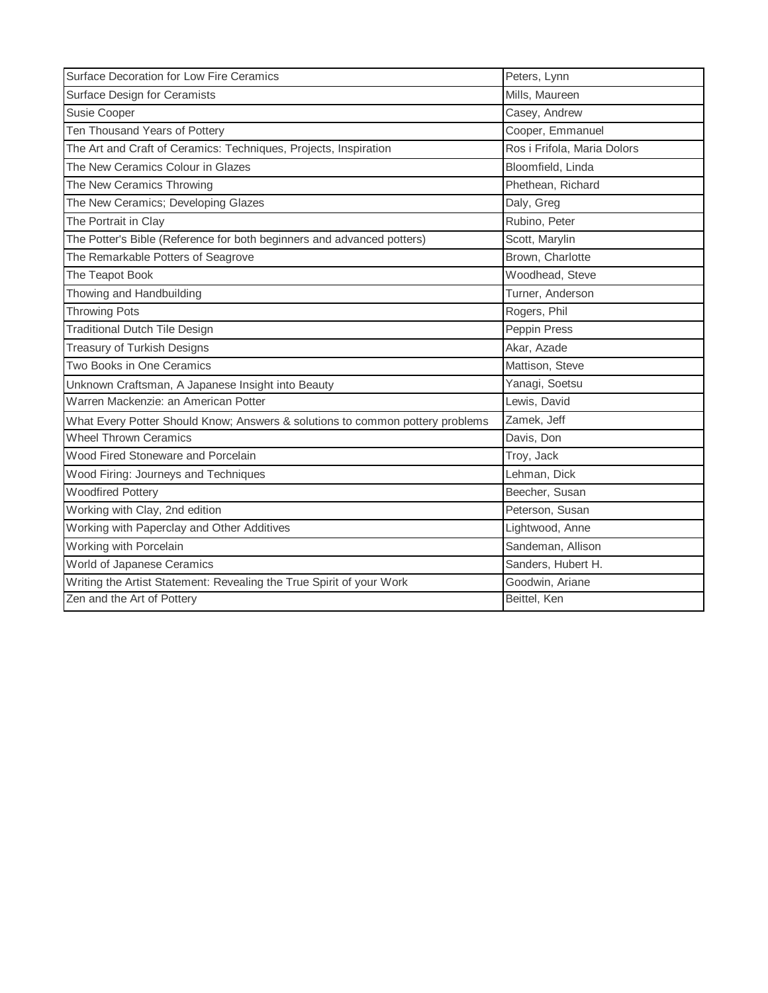| Surface Decoration for Low Fire Ceramics                                      | Peters, Lynn                |
|-------------------------------------------------------------------------------|-----------------------------|
| Surface Design for Ceramists                                                  | Mills, Maureen              |
| Susie Cooper                                                                  | Casey, Andrew               |
| Ten Thousand Years of Pottery                                                 | Cooper, Emmanuel            |
| The Art and Craft of Ceramics: Techniques, Projects, Inspiration              | Ros i Frifola, Maria Dolors |
| The New Ceramics Colour in Glazes                                             | Bloomfield, Linda           |
| The New Ceramics Throwing                                                     | Phethean, Richard           |
| The New Ceramics; Developing Glazes                                           | Daly, Greg                  |
| The Portrait in Clay                                                          | Rubino, Peter               |
| The Potter's Bible (Reference for both beginners and advanced potters)        | Scott, Marylin              |
| The Remarkable Potters of Seagrove                                            | Brown, Charlotte            |
| The Teapot Book                                                               | Woodhead, Steve             |
| Thowing and Handbuilding                                                      | Turner, Anderson            |
| <b>Throwing Pots</b>                                                          | Rogers, Phil                |
| <b>Traditional Dutch Tile Design</b>                                          | Peppin Press                |
| <b>Treasury of Turkish Designs</b>                                            | Akar, Azade                 |
| Two Books in One Ceramics                                                     | Mattison, Steve             |
| Unknown Craftsman, A Japanese Insight into Beauty                             | Yanagi, Soetsu              |
| Warren Mackenzie: an American Potter<br>Lewis, David                          |                             |
| What Every Potter Should Know; Answers & solutions to common pottery problems | Zamek, Jeff                 |
| <b>Wheel Thrown Ceramics</b>                                                  | Davis, Don                  |
| Wood Fired Stoneware and Porcelain                                            | Troy, Jack                  |
| Wood Firing: Journeys and Techniques                                          | Lehman, Dick                |
| <b>Woodfired Pottery</b>                                                      | Beecher, Susan              |
| Working with Clay, 2nd edition                                                | Peterson, Susan             |
| Working with Paperclay and Other Additives                                    | Lightwood, Anne             |
| Working with Porcelain                                                        | Sandeman, Allison           |
| World of Japanese Ceramics                                                    | Sanders, Hubert H.          |
| Writing the Artist Statement: Revealing the True Spirit of your Work          | Goodwin, Ariane             |
| Zen and the Art of Pottery                                                    | Beittel, Ken                |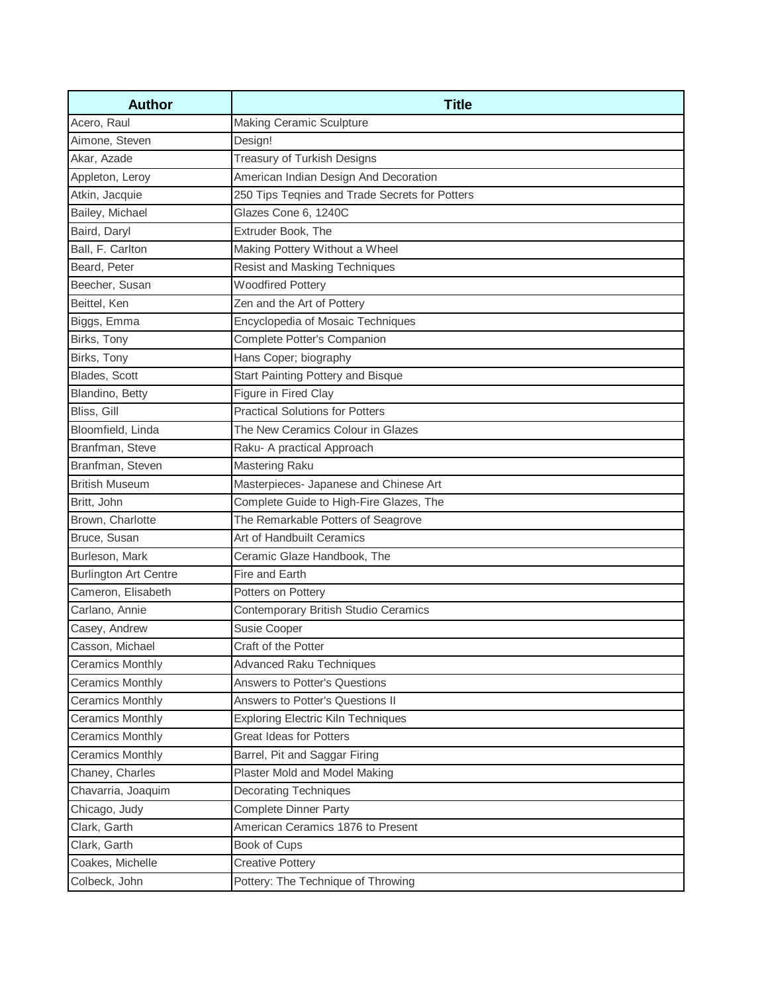| <b>Author</b>                | <b>Title</b>                                   |
|------------------------------|------------------------------------------------|
| Acero, Raul                  | <b>Making Ceramic Sculpture</b>                |
| Aimone, Steven               | Design!                                        |
| Akar, Azade                  | <b>Treasury of Turkish Designs</b>             |
| Appleton, Leroy              | American Indian Design And Decoration          |
| Atkin, Jacquie               | 250 Tips Teqnies and Trade Secrets for Potters |
| Bailey, Michael              | Glazes Cone 6, 1240C                           |
| Baird, Daryl                 | Extruder Book, The                             |
| Ball, F. Carlton             | Making Pottery Without a Wheel                 |
| Beard, Peter                 | Resist and Masking Techniques                  |
| Beecher, Susan               | <b>Woodfired Pottery</b>                       |
| Beittel, Ken                 | Zen and the Art of Pottery                     |
| Biggs, Emma                  | Encyclopedia of Mosaic Techniques              |
| Birks, Tony                  | Complete Potter's Companion                    |
| Birks, Tony                  | Hans Coper; biography                          |
| Blades, Scott                | Start Painting Pottery and Bisque              |
| Blandino, Betty              | Figure in Fired Clay                           |
| Bliss, Gill                  | <b>Practical Solutions for Potters</b>         |
| Bloomfield, Linda            | The New Ceramics Colour in Glazes              |
| Branfman, Steve              | Raku- A practical Approach                     |
| Branfman, Steven             | <b>Mastering Raku</b>                          |
| <b>British Museum</b>        | Masterpieces- Japanese and Chinese Art         |
| Britt, John                  | Complete Guide to High-Fire Glazes, The        |
| Brown, Charlotte             | The Remarkable Potters of Seagrove             |
| Bruce, Susan                 | Art of Handbuilt Ceramics                      |
| Burleson, Mark               | Ceramic Glaze Handbook, The                    |
| <b>Burlington Art Centre</b> | Fire and Earth                                 |
| Cameron, Elisabeth           | Potters on Pottery                             |
| Carlano, Annie               | Contemporary British Studio Ceramics           |
| Casey, Andrew                | Susie Cooper                                   |
| Casson, Michael              | Craft of the Potter                            |
| <b>Ceramics Monthly</b>      | <b>Advanced Raku Techniques</b>                |
| <b>Ceramics Monthly</b>      | Answers to Potter's Questions                  |
| <b>Ceramics Monthly</b>      | Answers to Potter's Questions II               |
| <b>Ceramics Monthly</b>      | <b>Exploring Electric Kiln Techniques</b>      |
| <b>Ceramics Monthly</b>      | Great Ideas for Potters                        |
| <b>Ceramics Monthly</b>      | Barrel, Pit and Saggar Firing                  |
| Chaney, Charles              | Plaster Mold and Model Making                  |
| Chavarria, Joaquim           | <b>Decorating Techniques</b>                   |
| Chicago, Judy                | <b>Complete Dinner Party</b>                   |
| Clark, Garth                 | American Ceramics 1876 to Present              |
| Clark, Garth                 | Book of Cups                                   |
| Coakes, Michelle             | <b>Creative Pottery</b>                        |
| Colbeck, John                | Pottery: The Technique of Throwing             |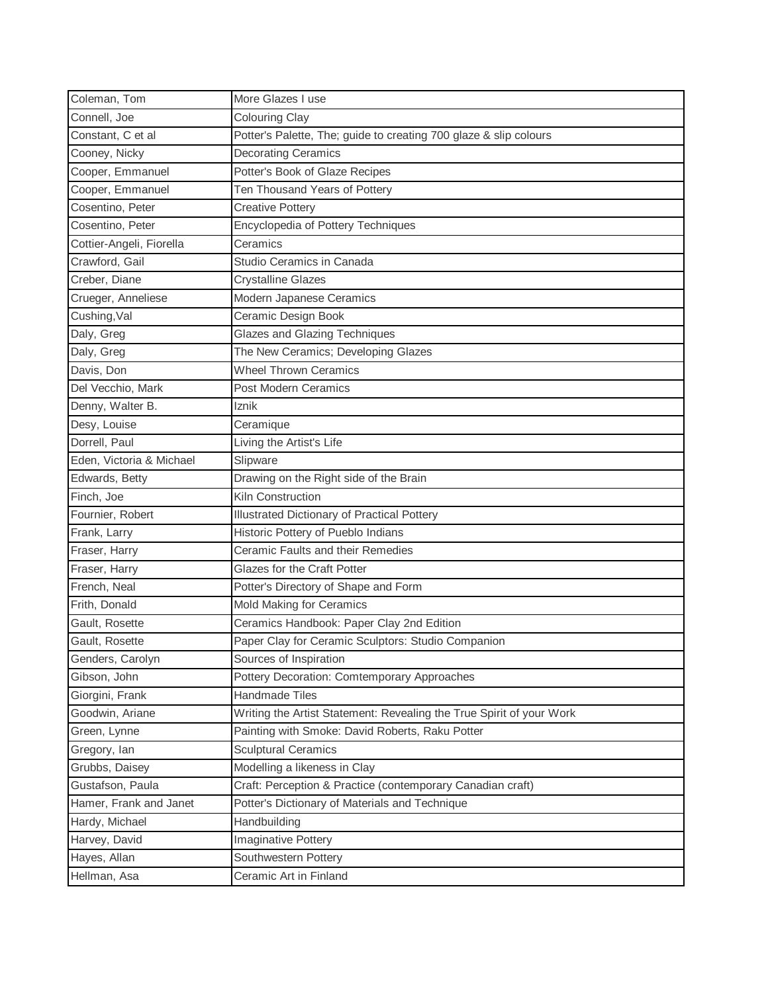| Coleman, Tom             | More Glazes I use                                                    |
|--------------------------|----------------------------------------------------------------------|
| Connell, Joe             | <b>Colouring Clay</b>                                                |
| Constant, C et al        | Potter's Palette, The; guide to creating 700 glaze & slip colours    |
| Cooney, Nicky            | <b>Decorating Ceramics</b>                                           |
| Cooper, Emmanuel         | Potter's Book of Glaze Recipes                                       |
| Cooper, Emmanuel         | Ten Thousand Years of Pottery                                        |
| Cosentino, Peter         | <b>Creative Pottery</b>                                              |
| Cosentino, Peter         | Encyclopedia of Pottery Techniques                                   |
| Cottier-Angeli, Fiorella | Ceramics                                                             |
| Crawford, Gail           | Studio Ceramics in Canada                                            |
| Creber, Diane            | <b>Crystalline Glazes</b>                                            |
| Crueger, Anneliese       | Modern Japanese Ceramics                                             |
| Cushing, Val             | Ceramic Design Book                                                  |
| Daly, Greg               | <b>Glazes and Glazing Techniques</b>                                 |
| Daly, Greg               | The New Ceramics; Developing Glazes                                  |
| Davis, Don               | <b>Wheel Thrown Ceramics</b>                                         |
| Del Vecchio, Mark        | Post Modern Ceramics                                                 |
| Denny, Walter B.         | Iznik                                                                |
| Desy, Louise             | Ceramique                                                            |
| Dorrell, Paul            | Living the Artist's Life                                             |
| Eden, Victoria & Michael | Slipware                                                             |
| Edwards, Betty           | Drawing on the Right side of the Brain                               |
| Finch, Joe               | Kiln Construction                                                    |
| Fournier, Robert         | <b>Illustrated Dictionary of Practical Pottery</b>                   |
| Frank, Larry             | Historic Pottery of Pueblo Indians                                   |
| Fraser, Harry            | Ceramic Faults and their Remedies                                    |
| Fraser, Harry            | Glazes for the Craft Potter                                          |
| French, Neal             | Potter's Directory of Shape and Form                                 |
| Frith, Donald            | Mold Making for Ceramics                                             |
| Gault, Rosette           | Ceramics Handbook: Paper Clay 2nd Edition                            |
| Gault, Rosette           | Paper Clay for Ceramic Sculptors: Studio Companion                   |
| Genders, Carolyn         | Sources of Inspiration                                               |
| Gibson, John             | Pottery Decoration: Comtemporary Approaches                          |
| Giorgini, Frank          | Handmade Tiles                                                       |
| Goodwin, Ariane          | Writing the Artist Statement: Revealing the True Spirit of your Work |
| Green, Lynne             | Painting with Smoke: David Roberts, Raku Potter                      |
| Gregory, Ian             | <b>Sculptural Ceramics</b>                                           |
| Grubbs, Daisey           | Modelling a likeness in Clay                                         |
| Gustafson, Paula         | Craft: Perception & Practice (contemporary Canadian craft)           |
| Hamer, Frank and Janet   | Potter's Dictionary of Materials and Technique                       |
| Hardy, Michael           | Handbuilding                                                         |
| Harvey, David            | Imaginative Pottery                                                  |
| Hayes, Allan             | Southwestern Pottery                                                 |
| Hellman, Asa             | Ceramic Art in Finland                                               |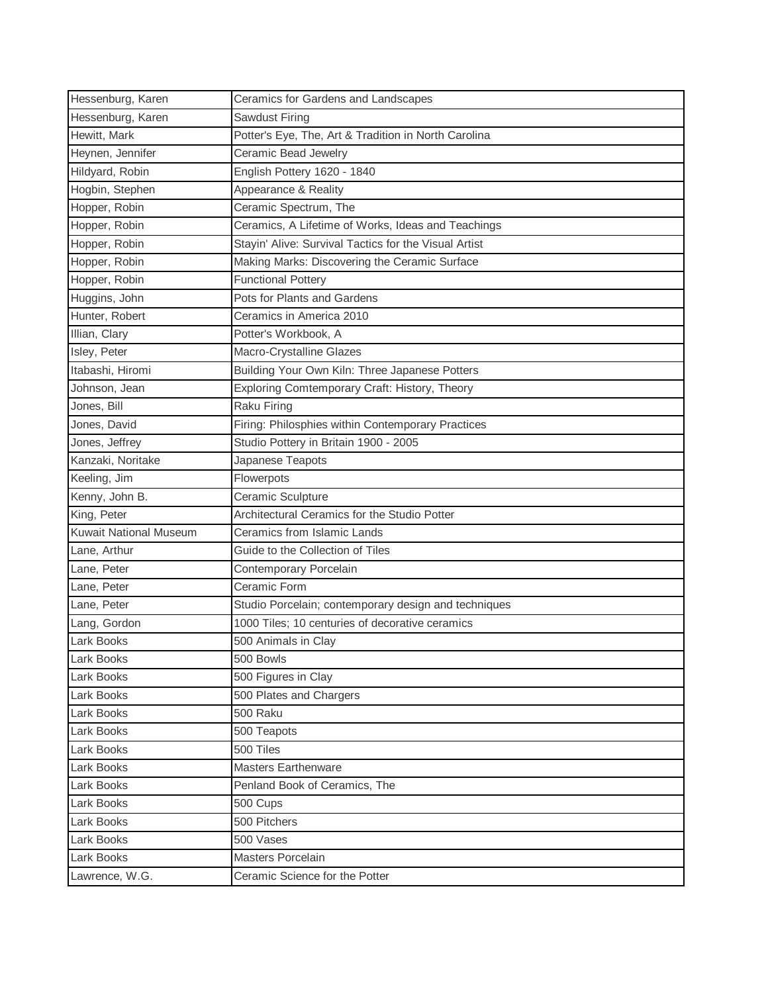| Hessenburg, Karen             | Ceramics for Gardens and Landscapes                   |
|-------------------------------|-------------------------------------------------------|
| Hessenburg, Karen             | Sawdust Firing                                        |
| Hewitt, Mark                  | Potter's Eye, The, Art & Tradition in North Carolina  |
| Heynen, Jennifer              | Ceramic Bead Jewelry                                  |
| Hildyard, Robin               | English Pottery 1620 - 1840                           |
| Hogbin, Stephen               | Appearance & Reality                                  |
| Hopper, Robin                 | Ceramic Spectrum, The                                 |
| Hopper, Robin                 | Ceramics, A Lifetime of Works, Ideas and Teachings    |
| Hopper, Robin                 | Stayin' Alive: Survival Tactics for the Visual Artist |
| Hopper, Robin                 | Making Marks: Discovering the Ceramic Surface         |
| Hopper, Robin                 | <b>Functional Pottery</b>                             |
| Huggins, John                 | Pots for Plants and Gardens                           |
| Hunter, Robert                | Ceramics in America 2010                              |
| Illian, Clary                 | Potter's Workbook, A                                  |
| Isley, Peter                  | Macro-Crystalline Glazes                              |
| Itabashi, Hiromi              | Building Your Own Kiln: Three Japanese Potters        |
| Johnson, Jean                 | Exploring Comtemporary Craft: History, Theory         |
| Jones, Bill                   | Raku Firing                                           |
| Jones, David                  | Firing: Philosphies within Contemporary Practices     |
| Jones, Jeffrey                | Studio Pottery in Britain 1900 - 2005                 |
| Kanzaki, Noritake             | Japanese Teapots                                      |
| Keeling, Jim                  | Flowerpots                                            |
| Kenny, John B.                | Ceramic Sculpture                                     |
| King, Peter                   | Architectural Ceramics for the Studio Potter          |
| <b>Kuwait National Museum</b> | Ceramics from Islamic Lands                           |
| Lane, Arthur                  | Guide to the Collection of Tiles                      |
| Lane, Peter                   | Contemporary Porcelain                                |
| Lane, Peter                   | Ceramic Form                                          |
| Lane, Peter                   | Studio Porcelain; contemporary design and techniques  |
| Lang, Gordon                  | 1000 Tiles; 10 centuries of decorative ceramics       |
| Lark Books                    | 500 Animals in Clay                                   |
| Lark Books                    | 500 Bowls                                             |
| Lark Books                    | 500 Figures in Clay                                   |
| Lark Books                    | 500 Plates and Chargers                               |
| Lark Books                    | 500 Raku                                              |
| Lark Books                    | 500 Teapots                                           |
| Lark Books                    | 500 Tiles                                             |
| Lark Books                    | <b>Masters Earthenware</b>                            |
| Lark Books                    | Penland Book of Ceramics, The                         |
| Lark Books                    | 500 Cups                                              |
| Lark Books                    | 500 Pitchers                                          |
| Lark Books                    | 500 Vases                                             |
| Lark Books                    | <b>Masters Porcelain</b>                              |
| Lawrence, W.G.                | Ceramic Science for the Potter                        |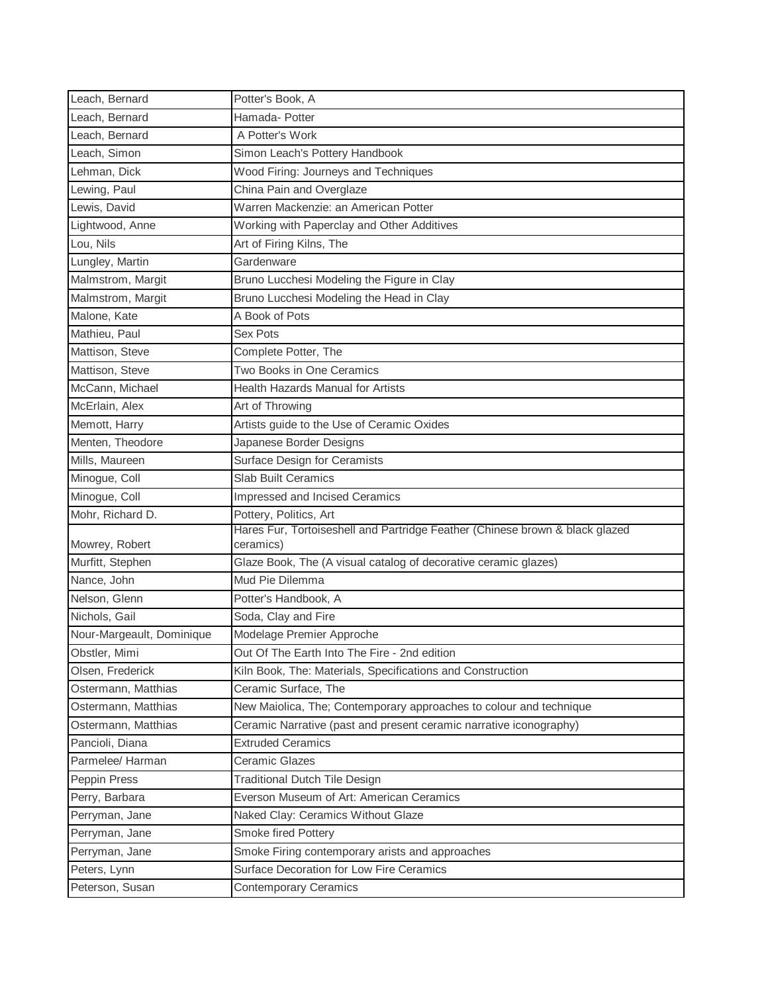| Leach, Bernard            | Potter's Book, A                                                             |
|---------------------------|------------------------------------------------------------------------------|
| Leach, Bernard            | Hamada- Potter                                                               |
| Leach, Bernard            | A Potter's Work                                                              |
| Leach, Simon              | Simon Leach's Pottery Handbook                                               |
| Lehman, Dick              | Wood Firing: Journeys and Techniques                                         |
| Lewing, Paul              | China Pain and Overglaze                                                     |
| Lewis, David              | Warren Mackenzie: an American Potter                                         |
| Lightwood, Anne           | Working with Paperclay and Other Additives                                   |
| Lou, Nils                 | Art of Firing Kilns, The                                                     |
| Lungley, Martin           | Gardenware                                                                   |
| Malmstrom, Margit         | Bruno Lucchesi Modeling the Figure in Clay                                   |
| Malmstrom, Margit         | Bruno Lucchesi Modeling the Head in Clay                                     |
| Malone, Kate              | A Book of Pots                                                               |
| Mathieu, Paul             | Sex Pots                                                                     |
| Mattison, Steve           | Complete Potter, The                                                         |
| Mattison, Steve           | Two Books in One Ceramics                                                    |
| McCann, Michael           | <b>Health Hazards Manual for Artists</b>                                     |
| McErlain, Alex            | Art of Throwing                                                              |
| Memott, Harry             | Artists guide to the Use of Ceramic Oxides                                   |
| Menten, Theodore          | Japanese Border Designs                                                      |
| Mills, Maureen            | Surface Design for Ceramists                                                 |
| Minogue, Coll             | <b>Slab Built Ceramics</b>                                                   |
| Minogue, Coll             | Impressed and Incised Ceramics                                               |
| Mohr, Richard D.          | Pottery, Politics, Art                                                       |
|                           | Hares Fur, Tortoiseshell and Partridge Feather (Chinese brown & black glazed |
| Mowrey, Robert            | ceramics)                                                                    |
| Murfitt, Stephen          | Glaze Book, The (A visual catalog of decorative ceramic glazes)              |
| Nance, John               | Mud Pie Dilemma                                                              |
| Nelson, Glenn             | Potter's Handbook, A                                                         |
| Nichols, Gail             | Soda, Clay and Fire                                                          |
| Nour-Margeault, Dominique | Modelage Premier Approche                                                    |
| Obstler, Mimi             | Out Of The Earth Into The Fire - 2nd edition                                 |
| Olsen, Frederick          | Kiln Book, The: Materials, Specifications and Construction                   |
| Ostermann, Matthias       | Ceramic Surface, The                                                         |
| Ostermann, Matthias       | New Maiolica, The; Contemporary approaches to colour and technique           |
| Ostermann, Matthias       | Ceramic Narrative (past and present ceramic narrative iconography)           |
| Pancioli, Diana           | <b>Extruded Ceramics</b>                                                     |
| Parmelee/ Harman          | Ceramic Glazes                                                               |
| Peppin Press              | <b>Traditional Dutch Tile Design</b>                                         |
| Perry, Barbara            | Everson Museum of Art: American Ceramics                                     |
| Perryman, Jane            | Naked Clay: Ceramics Without Glaze                                           |
| Perryman, Jane            | Smoke fired Pottery                                                          |
| Perryman, Jane            | Smoke Firing contemporary arists and approaches                              |
| Peters, Lynn              | Surface Decoration for Low Fire Ceramics                                     |
| Peterson, Susan           | <b>Contemporary Ceramics</b>                                                 |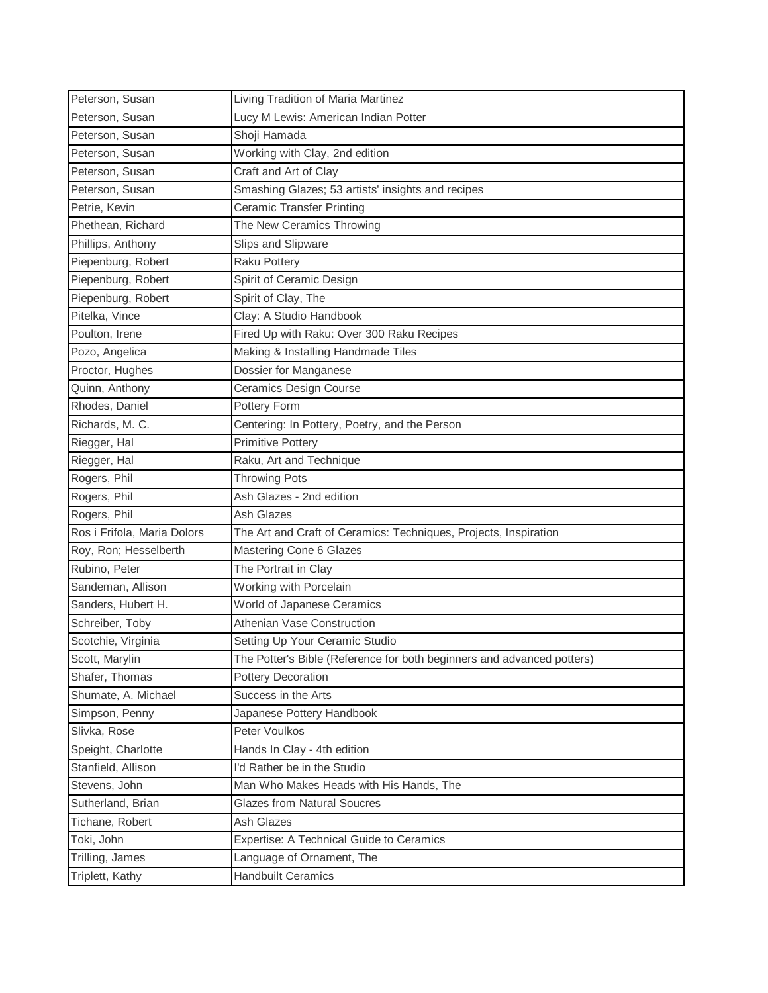| Peterson, Susan             | Living Tradition of Maria Martinez                                     |
|-----------------------------|------------------------------------------------------------------------|
| Peterson, Susan             | Lucy M Lewis: American Indian Potter                                   |
| Peterson, Susan             | Shoji Hamada                                                           |
| Peterson, Susan             | Working with Clay, 2nd edition                                         |
| Peterson, Susan             | Craft and Art of Clay                                                  |
| Peterson, Susan             | Smashing Glazes; 53 artists' insights and recipes                      |
| Petrie, Kevin               | <b>Ceramic Transfer Printing</b>                                       |
| Phethean, Richard           | The New Ceramics Throwing                                              |
| Phillips, Anthony           | Slips and Slipware                                                     |
| Piepenburg, Robert          | <b>Raku Pottery</b>                                                    |
| Piepenburg, Robert          | Spirit of Ceramic Design                                               |
| Piepenburg, Robert          | Spirit of Clay, The                                                    |
| Pitelka, Vince              | Clay: A Studio Handbook                                                |
| Poulton, Irene              | Fired Up with Raku: Over 300 Raku Recipes                              |
| Pozo, Angelica              | Making & Installing Handmade Tiles                                     |
| Proctor, Hughes             | Dossier for Manganese                                                  |
| Quinn, Anthony              | <b>Ceramics Design Course</b>                                          |
| Rhodes, Daniel              | Pottery Form                                                           |
| Richards, M. C.             | Centering: In Pottery, Poetry, and the Person                          |
| Riegger, Hal                | <b>Primitive Pottery</b>                                               |
| Riegger, Hal                | Raku, Art and Technique                                                |
| Rogers, Phil                | <b>Throwing Pots</b>                                                   |
| Rogers, Phil                | Ash Glazes - 2nd edition                                               |
| Rogers, Phil                | <b>Ash Glazes</b>                                                      |
| Ros i Frifola, Maria Dolors | The Art and Craft of Ceramics: Techniques, Projects, Inspiration       |
| Roy, Ron; Hesselberth       | Mastering Cone 6 Glazes                                                |
| Rubino, Peter               | The Portrait in Clay                                                   |
| Sandeman, Allison           | Working with Porcelain                                                 |
| Sanders, Hubert H.          | World of Japanese Ceramics                                             |
| Schreiber, Toby             | Athenian Vase Construction                                             |
| Scotchie, Virginia          | Setting Up Your Ceramic Studio                                         |
| Scott, Marylin              | The Potter's Bible (Reference for both beginners and advanced potters) |
| Shafer, Thomas              | <b>Pottery Decoration</b>                                              |
| Shumate, A. Michael         | Success in the Arts                                                    |
| Simpson, Penny              | Japanese Pottery Handbook                                              |
| Slivka, Rose                | Peter Voulkos                                                          |
| Speight, Charlotte          | Hands In Clay - 4th edition                                            |
| Stanfield, Allison          | I'd Rather be in the Studio                                            |
| Stevens, John               | Man Who Makes Heads with His Hands, The                                |
| Sutherland, Brian           | <b>Glazes from Natural Soucres</b>                                     |
| Tichane, Robert             | Ash Glazes                                                             |
| Toki, John                  | Expertise: A Technical Guide to Ceramics                               |
| Trilling, James             | Language of Ornament, The                                              |
| Triplett, Kathy             | <b>Handbuilt Ceramics</b>                                              |